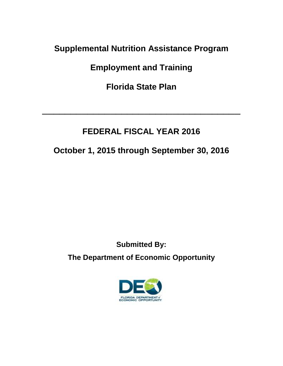## **Supplemental Nutrition Assistance Program**

**Employment and Training**

**Florida State Plan**

 $\overline{\phantom{a}}$  , and the contract of the contract of the contract of the contract of the contract of the contract of the contract of the contract of the contract of the contract of the contract of the contract of the contrac

# **FEDERAL FISCAL YEAR 2016**

# **October 1, 2015 through September 30, 2016**

# **Submitted By: The Department of Economic Opportunity**

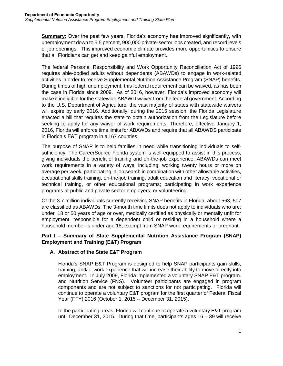**Summary:** Over the past few years, Florida's economy has improved significantly, with unemployment down to 5.5 percent, 900,000 private-sector jobs created, and record levels of job openings. This improved economic climate provides more opportunities to ensure that all Floridians can get and keep gainful employment.

The federal Personal Responsibility and Work Opportunity Reconciliation Act of 1996 requires able-bodied adults without dependents (ABAWDs) to engage in work-related activities in order to receive Supplemental Nutrition Assistance Program (SNAP) benefits. During times of high unemployment, this federal requirement can be waived, as has been the case in Florida since 2009. As of 2016, however, Florida's improved economy will make it ineligible for the statewide ABAWD waiver from the federal government. According to the U.S. Department of Agriculture, the vast majority of states with statewide waivers will expire by early 2016. Additionally, during the 2015 session, the Florida Legislature enacted a bill that requires the state to obtain authorization from the Legislature before seeking to apply for any waiver of work requirements. Therefore, effective January 1, 2016, Florida will enforce time limits for ABAWDs and require that all ABAWDS participate in Florida's E&T program in all 67 counties.

The purpose of SNAP is to help families in need while transitioning individuals to selfsufficiency. The CareerSource Florida system is well-equipped to assist in this process, giving individuals the benefit of training and on-the-job experience. ABAWDs can meet work requirements in a variety of ways, including: working twenty hours or more on average per week; participating in job search in combination with other allowable activities, occupational skills training, on-the-job training, adult education and literacy, vocational or technical training, or other educational programs; participating in work experience programs at public and private sector employers; or volunteering.

Of the 3.7 million individuals currently receiving SNAP benefits in Florida, about 563, 507 are classified as ABAWDs. The 3-month time limits does not apply to individuals who are: under 18 or 50 years of age or over, medically certified as physically or mentally unfit for employment, responsible for a dependent child or residing in a household where a household member is under age 18, exempt from SNAP work requirements or pregnant.

## **Part I – Summary of State Supplemental Nutrition Assistance Program (SNAP) Employment and Training (E&T) Program**

## **A. Abstract of the State E&T Program**

Florida's SNAP E&T Program is designed to help SNAP participants gain skills, training, and/or work experience that will increase their ability to move directly into employment. In July 2009, Florida implemented a voluntary SNAP E&T program. and Nutrition Service (FNS). Volunteer participants are engaged in program components and are not subject to sanctions for not participating. Florida will continue to operate a voluntary E&T program for the first quarter of Federal Fiscal Year (FFY) 2016 (October 1, 2015 – December 31, 2015).

In the participating areas, Florida will continue to operate a voluntary E&T program until December 31, 2015. During that time, participants ages 16 – 39 will receive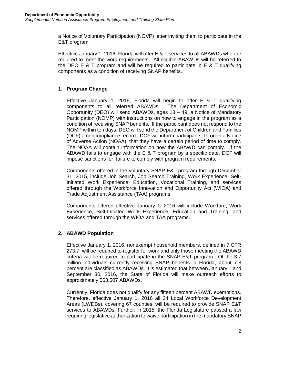a Notice of Voluntary Participation (NOVP) letter inviting them to participate in the E&T program

Effective January 1, 2016, Florida will offer E & T services to all ABAWDs who are required to meet the work requirements. All eligible ABAWDs will be referred to the DEO E  $&$  T program and will be required to participate in E  $&$  T qualifying components as a condition of receiving SNAP benefits.

## **1. Program Change**

Effective January 1, 2016, Florida will begin to offer E & T qualifying components to all referred ABAWDs. The Department of Economic Opportunity (DEO) will send ABAWDs, ages 18 – 49, a Notice of Mandatory Participation (NOMP) with instructions on how to engage in the program as a condition of receiving SNAP benefits. If the participant does not respond to the NOMP within ten days, DEO will send the Department of Children and Families (DCF) a noncompliance record. DCF will inform participants, through a Notice of Adverse Action (NOAA), that they have a certain period of time to comply. The NOAA will contain information on how the ABAWD can comply. If the ABAWD fails to engage with the E & T program by a specific date, DCF will impose sanctions for failure to comply with program requirements.

Components offered in the voluntary SNAP E&T program through December 31, 2015, include Job Search, Job Search Training, Work Experience, Self-Initiated Work Experience, Education, Vocational Training, and services offered through the Workforce Innovation and Opportunity Act (WIOA) and Trade Adjustment Assistance (TAA) programs.

Components offered effective January 1, 2016 will include Workfare, Work Experience, Self-Initiated Work Experience, Education and Training, and services offered through the WIOA and TAA programs.

## **2. ABAWD Population**

Effective January 1, 2016, nonexempt household members, defined in 7 CFR 273.7, will be required to register for work and only those meeting the ABAWD criteria will be required to participate in the SNAP E&T program. Of the 3.7 million individuals currently receiving SNAP benefits in Florida, about 7.8 percent are classified as ABAWDs. It is estimated that between January 1 and September 30, 2016, the State of Florida will make outreach efforts to approximately 563,507 ABAWDs.

Currently, Florida does not qualify for any fifteen percent ABAWD exemptions. Therefore, effective January 1, 2016 all 24 Local Workforce Development Areas (LWDBs), covering 67 counties, will be required to provide SNAP E&T services to ABAWDs. Further, in 2015, the Florida Legislature passed a law requiring legislative authorization to waive participation in the mandatory SNAP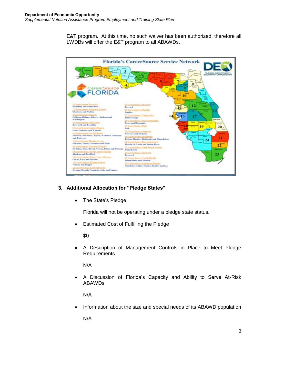E&T program. At this time, no such waiver has been authorized, therefore all LWDBs will offer the E&T program to all ABAWDs.



## **3. Additional Allocation for "Pledge States"**

• The State's Pledge

Florida will not be operating under a pledge state status.

Estimated Cost of Fulfilling the Pledge

\$0

 A Description of Management Controls in Place to Meet Pledge Requirements

N/A

 A Discussion of Florida's Capacity and Ability to Serve At-Risk ABAWDs

N/A

Information about the size and special needs of its ABAWD population

N/A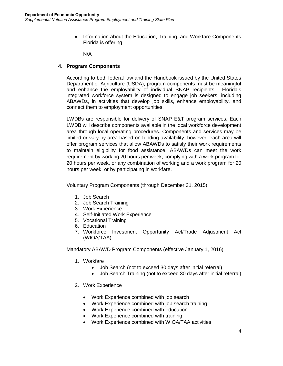• Information about the Education, Training, and Workfare Components Florida is offering

N/A

## **4. Program Components**

According to both federal law and the Handbook issued by the United States Department of Agriculture (USDA), program components must be meaningful and enhance the employability of individual SNAP recipients. Florida's integrated workforce system is designed to engage job seekers, including ABAWDs, in activities that develop job skills, enhance employability, and connect them to employment opportunities.

LWDBs are responsible for delivery of SNAP E&T program services. Each LWDB will describe components available in the local workforce development area through local operating procedures. Components and services may be limited or vary by area based on funding availability; however, each area will offer program services that allow ABAWDs to satisfy their work requirements to maintain eligibility for food assistance. ABAWDs can meet the work requirement by working 20 hours per week, complying with a work program for 20 hours per week, or any combination of working and a work program for 20 hours per week, or by participating in workfare.

## Voluntary Program Components (through December 31, 2015)

- 1. Job Search
- 2. Job Search Training
- 3. Work Experience
- 4. Self-Initiated Work Experience
- 5. Vocational Training
- 6. Education
- 7. Workforce Investment Opportunity Act/Trade Adjustment Act (WIOA/TAA)

## Mandatory ABAWD Program Components (effective January 1, 2016)

- 1. Workfare
	- Job Search (not to exceed 30 days after initial referral)
	- Job Search Training (not to exceed 30 days after initial referral)
- 2. Work Experience
	- Work Experience combined with job search
	- Work Experience combined with job search training
	- Work Experience combined with education
	- Work Experience combined with training
	- Work Experience combined with WIOA/TAA activities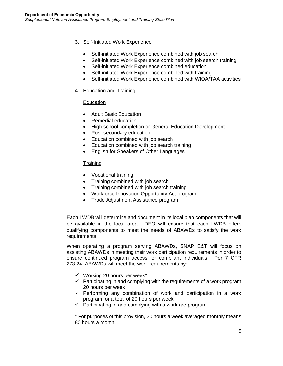- 3. Self-Initiated Work Experience
	- Self-initiated Work Experience combined with job search
	- Self-initiated Work Experience combined with job search training
	- Self-initiated Work Experience combined education
	- Self-initiated Work Experience combined with training
	- Self-initiated Work Experience combined with WIOA/TAA activities
- 4. Education and Training

## **Education**

- Adult Basic Education
- Remedial education
- High school completion or General Education Development
- Post-secondary education
- Education combined with job search
- Education combined with job search training
- English for Speakers of Other Languages

## **Training**

- Vocational training
- Training combined with job search
- Training combined with job search training
- Workforce Innovation Opportunity Act program
- Trade Adjustment Assistance program

Each LWDB will determine and document in its local plan components that will be available in the local area. DEO will ensure that each LWDB offers qualifying components to meet the needs of ABAWDs to satisfy the work requirements.

When operating a program serving ABAWDs, SNAP E&T will focus on assisting ABAWDs in meeting their work participation requirements in order to ensure continued program access for compliant individuals. Per 7 CFR 273.24, ABAWDs will meet the work requirements by:

- $\checkmark$  Working 20 hours per week\*
- $\checkmark$  Participating in and complying with the requirements of a work program 20 hours per week
- $\checkmark$  Performing any combination of work and participation in a work program for a total of 20 hours per week
- $\checkmark$  Participating in and complying with a workfare program

\* For purposes of this provision, 20 hours a week averaged monthly means 80 hours a month.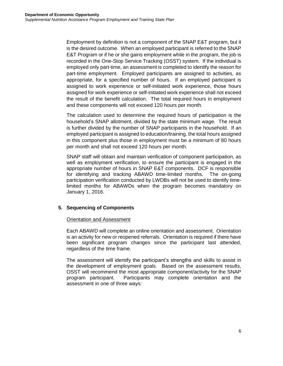Employment by definition is not a component of the SNAP E&T program, but it is the desired outcome. When an employed participant is referred to the SNAP E&T Program or if he or she gains employment while in the program, the job is recorded in the One-Stop Service Tracking (OSST) system. If the individual is employed only part-time, an assessment is completed to identify the reason for part-time employment. Employed participants are assigned to activities, as appropriate, for a specified number of hours. If an employed participant is assigned to work experience or self-initiated work experience, those hours assigned for work experience or self-initiated work experience shall not exceed the result of the benefit calculation. The total required hours in employment and these components will not exceed 120 hours per month.

The calculation used to determine the required hours of participation is the household's SNAP allotment, divided by the state minimum wage. The result is further divided by the number of SNAP participants in the household. If an employed participant is assigned to education/training, the total hours assigned in this component plus those in employment must be a minimum of 80 hours per month and shall not exceed 120 hours per month.

SNAP staff will obtain and maintain verification of component participation, as well as employment verification, to ensure the participant is engaged in the appropriate number of hours in SNAP E&T components. DCF is responsible for identifying and tracking ABAWD time-limited months. The on-going participation verification conducted by LWDBs will not be used to identify timelimited months for ABAWDs when the program becomes mandatory on January 1, 2016.

## **5. Sequencing of Components**

## Orientation and Assessment

Each ABAWD will complete an online orientation and assessment. Orientation is an activity for new or reopened referrals. Orientation is required if there have been significant program changes since the participant last attended, regardless of the time frame.

The assessment will identify the participant's strengths and skills to assist in the development of employment goals. Based on the assessment results, OSST will recommend the most appropriate component/activity for the SNAP program participant. Participants may complete orientation and the assessment in one of three ways: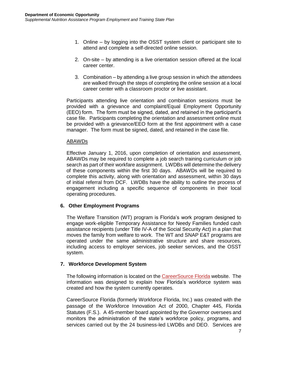- 1. Online by logging into the OSST system client or participant site to attend and complete a self-directed online session.
- 2. On-site by attending is a live orientation session offered at the local career center.
- 3. Combination by attending a live group session in which the attendees are walked through the steps of completing the online session at a local career center with a classroom proctor or live assistant.

Participants attending live orientation and combination sessions must be provided with a grievance and complaint/Equal Employment Opportunity (EEO) form. The form must be signed, dated, and retained in the participant's case file. Participants completing the orientation and assessment online must be provided with a grievance/EEO form at the first appointment with a case manager. The form must be signed, dated, and retained in the case file.

#### ABAWDs

Effective January 1, 2016, upon completion of orientation and assessment, ABAWDs may be required to complete a job search training curriculum or job search as part of their workfare assignment. LWDBs will determine the delivery of these components within the first 30 days. ABAWDs will be required to complete this activity, along with orientation and assessment, within 30 days of initial referral from DCF. LWDBs have the ability to outline the process of engagement including a specific sequence of components in their local operating procedures.

## **6. Other Employment Programs**

The Welfare Transition (WT) program is Florida's work program designed to engage work-eligible Temporary Assistance for Needy Families funded cash assistance recipients (under Title IV-A of the Social Security Act) in a plan that moves the family from welfare to work. The WT and SNAP E&T programs are operated under the same administrative structure and share resources, including access to employer services, job seeker services, and the OSST system.

## **7. Workforce Development System**

The following information is located on the [CareerSource Florida](http://careersourceflorida.com/) website. The information was designed to explain how Florida's workforce system was created and how the system currently operates.

CareerSource Florida (formerly Workforce Florida, Inc.) was created with the passage of the Workforce Innovation Act of 2000, Chapter 445, Florida Statutes (F.S.). A [45-member board](file://///awifs/workservices/1D.%20-%20Prog.%20Guidance-QA/Fay) appointed by the Governor oversees and monitors the administration of the state's workforce policy, programs, and services carried out by the 24 business-led [LWDBs](file://///awifs/workservices/1D.%20-%20Prog.%20Guidance-QA/Fay) and DEO. Services are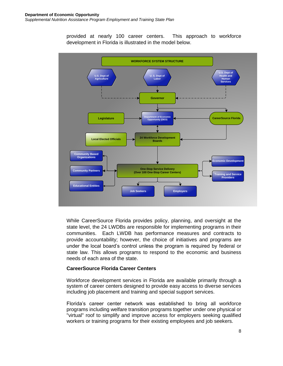provided at nearly 100 career centers. This approach to workforce development in Florida is illustrated in the model below.



While CareerSource Florida provides policy, planning, and oversight at the state level, the 24 LWDBs are responsible for implementing programs in their communities. Each LWDB has performance measures and contracts to provide accountability; however, the choice of initiatives and programs are under the local board's control unless the program is required by federal or state law. This allows programs to respond to the economic and business needs of each area of the state.

## **CareerSource Florida Career Centers**

Workforce development services in Florida are available primarily through a system of career centers designed to provide easy access to diverse services including job placement and training and special support services.

Florida's career center network was established to bring all workforce programs including welfare transition programs together under one physical or "virtual" roof to simplify and improve access for employers seeking qualified workers or training programs for their existing employees and job seekers.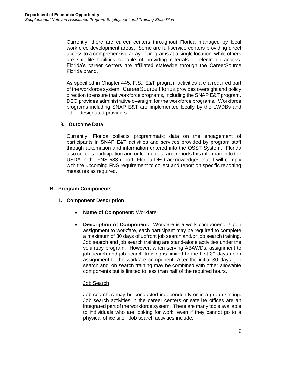Currently, there are career centers throughout Florida managed by local workforce development areas. Some are full-service centers providing direct access to a comprehensive array of programs at a single location, while others are satellite facilities capable of providing referrals or electronic access. Florida's career centers are affiliated statewide through the [CareerSource](https://www.employflorida.com/vosnet/Default.aspx)  Florida brand.

As specified in Chapter 445, F.S., E&T program activities are a required part of the workforce system. [CareerSource F](https://www.employflorida.com/vosnet/Default.aspx)lorida provides oversight and policy direction to ensure that workforce programs, including the SNAP E&T program. DEO provides administrative oversight for the workforce programs. Workforce programs including SNAP E&T are implemented locally by the LWDBs and other designated providers.

## **8. Outcome Data**

Currently, Florida collects programmatic data on the engagement of participants in SNAP E&T activities and services provided by program staff through automation and information entered into the OSST System. Florida also collects participation and outcome data and reports this information to the USDA in the FNS 583 report. Florida DEO acknowledges that it will comply with the upcoming FNS requirement to collect and report on specific reporting measures as required.

## **B. Program Components**

- **1. Component Description**
	- **Name of Component:** Workfare
	- **Description of Component:** Workfare is a work component. Upon assignment to workfare, each participant may be required to complete a maximum of 30 days of upfront job search and/or job search training. Job search and job search training are stand-alone activities under the voluntary program. However, when serving ABAWDs, assignment to job search and job search training is limited to the first 30 days upon assignment to the workfare component. After the initial 30 days, job search and job search training may be combined with other allowable components but is limited to less than half of the required hours.

## Job Search

Job searches may be conducted independently or in a group setting. Job search activities in the career centers or satellite offices are an integrated part of the workforce system. There are many tools available to individuals who are looking for work, even if they cannot go to a physical office site. Job search activities include: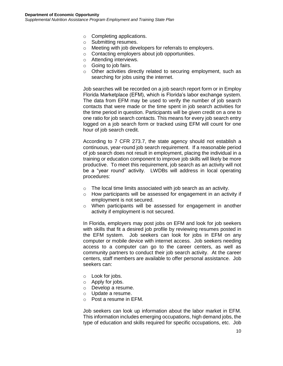- o Completing applications.
- o Submitting resumes.
- o Meeting with job developers for referrals to employers.
- o Contacting employers about job opportunities.
- o Attending interviews.
- o Going to job fairs.
- o Other activities directly related to securing employment, such as searching for jobs using the internet.

Job searches will be recorded on a job search report form or in Employ Florida Marketplace (EFM), which is Florida's labor exchange system. The data from EFM may be used to verify the number of job search contacts that were made or the time spent in job search activities for the time period in question. Participants will be given credit on a one to one ratio for job search contacts. This means for every job search entry logged on a job search form or tracked using EFM will count for one hour of job search credit.

According to 7 CFR 273.7, the state agency should not establish a continuous, year-round job search requirement. If a reasonable period of job search does not result in employment, placing the individual in a training or education component to improve job skills will likely be more productive. To meet this requirement, job search as an activity will not be a "year round" activity. LWDBs will address in local operating procedures:

- o The local time limits associated with job search as an activity.
- o How participants will be assessed for engagement in an activity if employment is not secured.
- o When participants will be assessed for engagement in another activity if employment is not secured.

In Florida, employers may post jobs on EFM and look for job seekers with skills that fit a desired job profile by reviewing resumes posted in the EFM system. Job seekers can look for jobs in EFM on any computer or mobile device with internet access. Job seekers needing access to a computer can go to the career centers, as well as community partners to conduct their job search activity. At the career centers, staff members are available to offer personal assistance. Job seekers can:

- o Look for jobs.
- o Apply for jobs.
- o Develop a resume.
- o Update a resume.
- o Post a resume in EFM.

Job seekers can look up information about the labor market in EFM. This information includes emerging occupations, high demand jobs, the type of education and skills required for specific occupations, etc. Job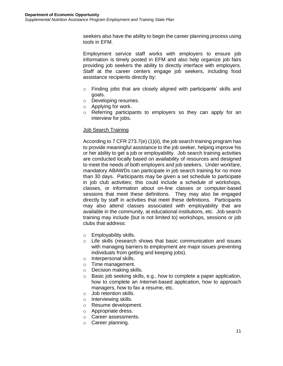seekers also have the ability to begin the career planning process using tools in EFM.

Employment service staff works with employers to ensure job information is timely posted in EFM and also help organize job fairs providing job seekers the ability to directly interface with employers. Staff at the career centers engage job seekers, including food assistance recipients directly by:

- o Finding jobs that are closely aligned with participants' skills and goals.
- o Developing resumes.
- o Applying for work.
- o Referring participants to employers so they can apply for an interview for jobs.

#### Job Search Training

According to 7 CFR 273.7(e) (1)(ii), the job search training program has to provide meaningful assistance to the job seeker, helping improve his or her ability to get a job or employability. Job search training activities are conducted locally based on availability of resources and designed to meet the needs of both employers and job seekers. Under workfare, mandatory ABAWDs can participate in job search training for no more than 30 days. Participants may be given a set schedule to participate in job club activities; this could include a schedule of workshops, classes, or information about on-line classes or computer-based sessions that meet these definitions. They may also be engaged directly by staff in activities that meet these definitions. Participants may also attend classes associated with employability that are available in the community, at educational institutions, etc. Job search training may include (but is not limited to) workshops, sessions or job clubs that address:

- o Employability skills.
- o Life skills (research shows that basic communication and issues with managing barriers to employment are major issues preventing individuals from getting and keeping jobs).
- o Interpersonal skills.
- o Time management.
- o Decision making skills.
- o Basic job seeking skills, e.g., how to complete a paper application, how to complete an Internet-based application, how to approach managers, how to fax a resume, etc.
- o Job retention skills.
- o Interviewing skills.
- o Resume development.
- o Appropriate dress.
- o Career assessments.
- o Career planning.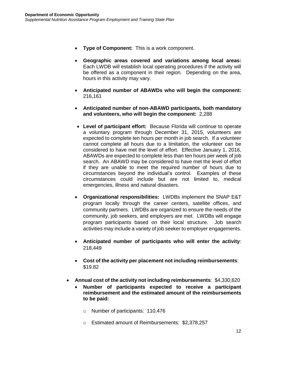- **Type of Component:** This is a work component.
- **Geographic areas covered and variations among local areas:** Each LWDB will establish local operating procedures if the activity will be offered as a component in their region. Depending on the area, hours in this activity may vary.
- **Anticipated number of ABAWDs who will begin the component:** 216,161
- **Anticipated number of non-ABAWD participants, both mandatory and volunteers, who will begin the component:** 2,288
- **Level of participant effort:** Because Florida will continue to operate a voluntary program through December 31, 2015, volunteers are expected to complete ten hours per month in job search. If a volunteer cannot complete all hours due to a limitation, the volunteer can be considered to have met the level of effort. Effective January 1, 2016, ABAWDs are expected to complete less than ten hours per week of job search. An ABAWD may be considered to have met the level of effort if they are unable to meet the required number of hours due to circumstances beyond the individual's control. Examples of these circumstances could include but are not limited to, medical emergencies, illness and natural disasters.
- **Organizational responsibilities:** LWDBs implement the SNAP E&T program locally through the career centers, satellite offices, and community partners. LWDBs are organized to ensure the needs of the community, job seekers, and employers are met. LWDBs will engage program participants based on their local structure. Job search activities may include a variety of job seeker to employer engagements.
- **Anticipated number of participants who will enter the activity**: 218,449
- **Cost of the activity per placement not including reimbursements**: \$19.82
- **Annual cost of the activity not including reimbursements**: \$4,330,620
	- **Number of participants expected to receive a participant reimbursement and the estimated amount of the reimbursements to be paid:** 
		- o Number of participants: 110,476
		- o Estimated amount of Reimbursements: \$2,378,257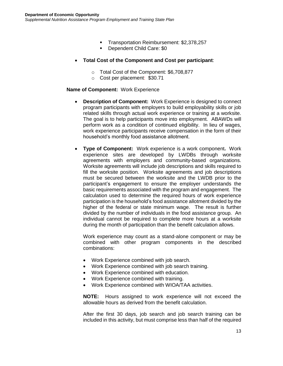- **Transportation Reimbursement: \$2,378,257**
- **Dependent Child Care: \$0**
- **Total Cost of the Component and Cost per participant**:
	- o Total Cost of the Component: \$6,708,877
	- o Cost per placement: \$30.71

#### **Name of Component:** Work Experience

- **Description of Component:** Work Experience is designed to connect program participants with employers to build employability skills or job related skills through actual work experience or training at a worksite. The goal is to help participants move into employment. ABAWDs will perform work as a condition of continued eligibility. In lieu of wages, work experience participants receive compensation in the form of their household's monthly food assistance allotment.
- **Type of Component:** Work experience is a work component**.** Work experience sites are developed by LWDBs through worksite agreements with employers and community-based organizations. Worksite agreements will include job descriptions and skills required to fill the worksite position. Worksite agreements and job descriptions must be secured between the worksite and the LWDB prior to the participant's engagement to ensure the employer understands the basic requirements associated with the program and engagement. The calculation used to determine the required hours of work experience participation is the household's food assistance allotment divided by the higher of the federal or state minimum wage. The result is further divided by the number of individuals in the food assistance group. An individual cannot be required to complete more hours at a worksite during the month of participation than the benefit calculation allows.

Work experience may count as a stand-alone component or may be combined with other program components in the described combinations:

- Work Experience combined with job search.
- Work Experience combined with job search training.
- Work Experience combined with education.
- Work Experience combined with training.
- Work Experience combined with WIOA/TAA activities.

**NOTE:** Hours assigned to work experience will not exceed the allowable hours as derived from the benefit calculation.

After the first 30 days, job search and job search training can be included in this activity, but must comprise less than half of the required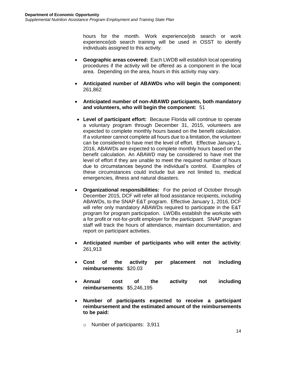hours for the month. Work experience/job search or work experience/job search training will be used in OSST to identify individuals assigned to this activity.

- **Geographic areas covered:** Each LWDB will establish local operating procedures if the activity will be offered as a component in the local area. Depending on the area, hours in this activity may vary.
- **Anticipated number of ABAWDs who will begin the component:** 261,862
- **Anticipated number of non-ABAWD participants, both mandatory and volunteers, who will begin the component:** 51
- **Level of participant effort:** Because Florida will continue to operate a voluntary program through December 31, 2015, volunteers are expected to complete monthly hours based on the benefit calculation. If a volunteer cannot complete all hours due to a limitation, the volunteer can be considered to have met the level of effort. Effective January 1, 2016, ABAWDs are expected to complete monthly hours based on the benefit calculation. An ABAWD may be considered to have met the level of effort if they are unable to meet the required number of hours due to circumstances beyond the individual's control. Examples of these circumstances could include but are not limited to, medical emergencies, illness and natural disasters.
- **Organizational responsibilities:** For the period of October through December 2015, DCF will refer all food assistance recipients, including ABAWDs, to the SNAP E&T program. Effective January 1, 2016, DCF will refer only mandatory ABAWDs required to participate in the E&T program for program participation. LWDBs establish the worksite with a for profit or not-for-profit employer for the participant. SNAP program staff will track the hours of attendance, maintain documentation, and report on participant activities.
- **Anticipated number of participants who will enter the activity**: 261,913
- **Cost of the activity per placement not including reimbursements**: \$20.03
- **Annual cost of the activity not including reimbursements**: \$5,246,195
- **Number of participants expected to receive a participant reimbursement and the estimated amount of the reimbursements to be paid:**

o Number of participants: 3,911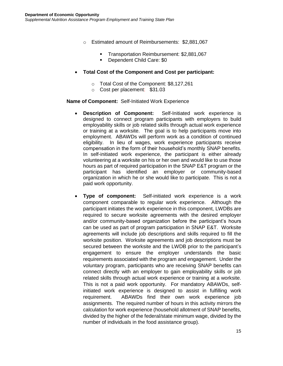- o Estimated amount of Reimbursements: \$2,881,067
	- **Transportation Reimbursement: \$2,881,067**
	- Dependent Child Care: \$0
- **Total Cost of the Component and Cost per participant:**
	- o Total Cost of the Component: \$8,127,261
	- o Cost per placement: \$31.03

#### **Name of Component:** Self-Initiated Work Experience

- **Description of Component:** Self-Initiated work experience is designed to connect program participants with employers to build employability skills or job related skills through actual work experience or training at a worksite. The goal is to help participants move into employment. ABAWDs will perform work as a condition of continued eligibility. In lieu of wages, work experience participants receive compensation in the form of their household's monthly SNAP benefits. In self-initiated work experience, the participant is either already volunteering at a worksite on his or her own and would like to use those hours as part of required participation in the SNAP E&T program or the participant has identified an employer or community-based organization in which he or she would like to participate. This is not a paid work opportunity.
- **Type of component:** Self-initiated work experience is a work component comparable to regular work experience. Although the participant initiates the work experience in this component, LWDBs are required to secure worksite agreements with the desired employer and/or community-based organization before the participant's hours can be used as part of program participation in SNAP E&T. Worksite agreements will include job descriptions and skills required to fill the worksite position. Worksite agreements and job descriptions must be secured between the worksite and the LWDB prior to the participant's engagement to ensure the employer understands the basic requirements associated with the program and engagement. Under the voluntary program, participants who are receiving SNAP benefits can connect directly with an employer to gain employability skills or job related skills through actual work experience or training at a worksite. This is not a paid work opportunity. For mandatory ABAWDs, selfinitiated work experience is designed to assist in fulfilling work requirement. ABAWDs find their own work experience job assignments. The required number of hours in this activity mirrors the calculation for work experience (household allotment of SNAP benefits, divided by the higher of the federal/state minimum wage, divided by the number of individuals in the food assistance group).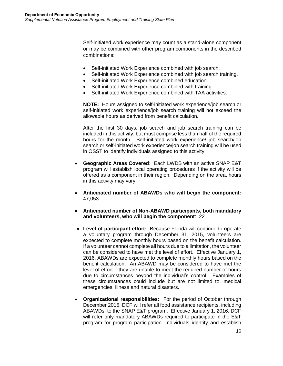Self-initiated work experience may count as a stand-alone component or may be combined with other program components in the described combinations:

- Self-initiated Work Experience combined with job search.
- Self-initiated Work Experience combined with job search training.
- Self-initiated Work Experience combined education.
- Self-initiated Work Experience combined with training.
- Self-initiated Work Experience combined with TAA activities.

**NOTE:** Hours assigned to self-initiated work experience/job search or self-initiated work experience/job search training will not exceed the allowable hours as derived from benefit calculation.

After the first 30 days, job search and job search training can be included in this activity, but must comprise less than half of the required hours for the month. Self-initiated work experience/ job search/job search or self-initiated work experience/job search training will be used in OSST to identify individuals assigned to this activity.

- **Geographic Areas Covered:** Each LWDB with an active SNAP E&T program will establish local operating procedures if the activity will be offered as a component in their region. Depending on the area, hours in this activity may vary.
- **Anticipated number of ABAWDs who will begin the component:** 47,053
- **Anticipated number of Non-ABAWD participants, both mandatory and volunteers, who will begin the component**: 22
- **Level of participant effort:** Because Florida will continue to operate a voluntary program through December 31, 2015, volunteers are expected to complete monthly hours based on the benefit calculation. If a volunteer cannot complete all hours due to a limitation, the volunteer can be considered to have met the level of effort. Effective January 1, 2016, ABAWDs are expected to complete monthly hours based on the benefit calculation. An ABAWD may be considered to have met the level of effort if they are unable to meet the required number of hours due to circumstances beyond the individual's control. Examples of these circumstances could include but are not limited to, medical emergencies, illness and natural disasters.
- **Organizational responsibilities:** For the period of October through December 2015, DCF will refer all food assistance recipients, including ABAWDs, to the SNAP E&T program. Effective January 1, 2016, DCF will refer only mandatory ABAWDs required to participate in the E&T program for program participation. Individuals identify and establish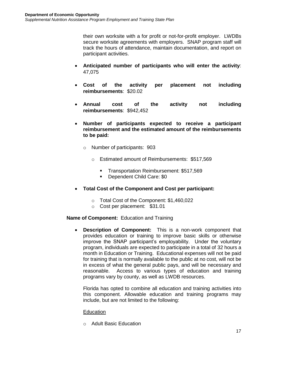their own worksite with a for profit or not-for-profit employer. LWDBs secure worksite agreements with employers. SNAP program staff will track the hours of attendance, maintain documentation, and report on participant activities.

- **Anticipated number of participants who will enter the activity**: 47,075
- **Cost of the activity per placement not including reimbursements**: \$20.02
- **Annual cost of the activity not including reimbursements**: \$942,452
- **Number of participants expected to receive a participant reimbursement and the estimated amount of the reimbursements to be paid:** 
	- o Number of participants: 903
		- o Estimated amount of Reimbursements: \$517,569
			- **Transportation Reimbursement: \$517,569**
			- Dependent Child Care: \$0
- **Total Cost of the Component and Cost per participant:**
	- o Total Cost of the Component: \$1,460,022
	- o Cost per placement: \$31.01

#### **Name of Component:** Education and Training

 **Description of Component:** This is a non-work component that provides education or training to improve basic skills or otherwise improve the SNAP participant's employability. Under the voluntary program, individuals are expected to participate in a total of 32 hours a month in Education or Training. Educational expenses will not be paid for training that is normally available to the public at no cost, will not be in excess of what the general public pays, and will be necessary and reasonable. Access to various types of education and training programs vary by county, as well as LWDB resources.

Florida has opted to combine all education and training activities into this component. Allowable education and training programs may include, but are not limited to the following:

#### **Education**

o Adult Basic Education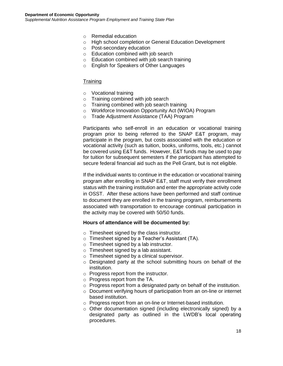- o Remedial education
- o High school completion or General Education Development
- o Post-secondary education
- o Education combined with job search
- o Education combined with job search training
- o English for Speakers of Other Languages

#### **Training**

- o Vocational training
- o Training combined with job search
- o Training combined with job search training
- o Workforce Innovation Opportunity Act (WIOA) Program
- o Trade Adjustment Assistance (TAA) Program

Participants who self-enroll in an education or vocational training program prior to being referred to the SNAP E&T program, may participate in the program, but costs associated with the education or vocational activity (such as tuition, books, uniforms, tools, etc.) cannot be covered using E&T funds. However, E&T funds may be used to pay for tuition for subsequent semesters if the participant has attempted to secure federal financial aid such as the Pell Grant, but is not eligible.

If the individual wants to continue in the education or vocational training program after enrolling in SNAP E&T, staff must verify their enrollment status with the training institution and enter the appropriate activity code in OSST. After these actions have been performed and staff continue to document they are enrolled in the training program, reimbursements associated with transportation to encourage continual participation in the activity may be covered with 50/50 funds.

#### **Hours of attendance will be documented by:**

- o Timesheet signed by the class instructor.
- o Timesheet signed by a Teacher's Assistant (TA).
- o Timesheet signed by a lab instructor.
- o Timesheet signed by a lab assistant.
- o Timesheet signed by a clinical supervisor.
- o Designated party at the school submitting hours on behalf of the institution.
- o Progress report from the instructor.
- o Progress report from the TA.
- o Progress report from a designated party on behalf of the institution.
- o Document verifying hours of participation from an on-line or internet based institution.
- o Progress report from an on-line or Internet-based institution.
- o Other documentation signed (including electronically signed) by a designated party as outlined in the LWDB's local operating procedures.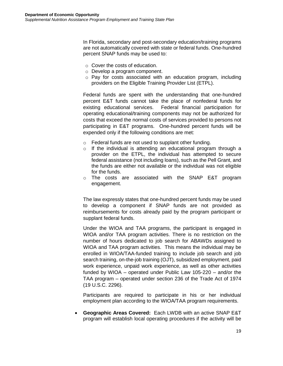In Florida, secondary and post-secondary education/training programs are not automatically covered with state or federal funds. One-hundred percent SNAP funds may be used to:

- o Cover the costs of education.
- o Develop a program component.
- o Pay for costs associated with an education program, including providers on the Eligible Training Provider List (ETPL).

Federal funds are spent with the understanding that one-hundred percent E&T funds cannot take the place of nonfederal funds for existing educational services. Federal financial participation for operating educational/training components may not be authorized for costs that exceed the normal costs of services provided to persons not participating in E&T programs. One-hundred percent funds will be expended only if the following conditions are met:

- o Federal funds are not used to supplant other funding.
- o If the individual is attending an educational program through a provider on the ETPL, the individual has attempted to secure federal assistance (not including loans), such as the Pell Grant, and the funds are either not available or the individual was not eligible for the funds.
- o The costs are associated with the SNAP E&T program engagement.

The law expressly states that one-hundred percent funds may be used to develop a component if SNAP funds are not provided as reimbursements for costs already paid by the program participant or supplant federal funds.

Under the WIOA and TAA programs, the participant is engaged in WIOA and/or TAA program activities. There is no restriction on the number of hours dedicated to job search for ABAWDs assigned to WIOA and TAA program activities. This means the individual may be enrolled in WIOA/TAA-funded training to include job search and job search training, on-the-job training (OJT), subsidized employment, paid work experience, unpaid work experience, as well as other activities funded by WIOA – operated under Public Law 105-220 – and/or the TAA program – operated under section 236 of the Trade Act of 1974 (19 U.S.C. 2296).

Participants are required to participate in his or her individual employment plan according to the WIOA/TAA program requirements.

 **Geographic Areas Covered:** Each LWDB with an active SNAP E&T program will establish local operating procedures if the activity will be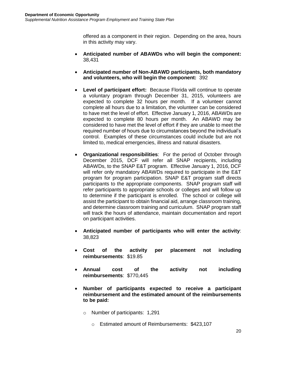offered as a component in their region. Depending on the area, hours in this activity may vary.

- **Anticipated number of ABAWDs who will begin the component:** 38,431
- **Anticipated number of Non-ABAWD participants, both mandatory and volunteers, who will begin the component:** 392
- **Level of participant effort:** Because Florida will continue to operate a voluntary program through December 31, 2015, volunteers are expected to complete 32 hours per month. If a volunteer cannot complete all hours due to a limitation, the volunteer can be considered to have met the level of effort. Effective January 1, 2016, ABAWDs are expected to complete 80 hours per month. An ABAWD may be considered to have met the level of effort if they are unable to meet the required number of hours due to circumstances beyond the individual's control. Examples of these circumstances could include but are not limited to, medical emergencies, illness and natural disasters.
- **Organizational responsibilities**: For the period of October through December 2015, DCF will refer all SNAP recipients, including ABAWDs, to the SNAP E&T program. Effective January 1, 2016, DCF will refer only mandatory ABAWDs required to participate in the E&T program for program participation. SNAP E&T program staff directs participants to the appropriate components. SNAP program staff will refer participants to appropriate schools or colleges and will follow up to determine if the participant is enrolled. The school or college will assist the participant to obtain financial aid, arrange classroom training, and determine classroom training and curriculum. SNAP program staff will track the hours of attendance, maintain documentation and report on participant activities.
- **Anticipated number of participants who will enter the activity**: 38,823
- **Cost of the activity per placement not including reimbursements**: \$19.85
- **Annual cost of the activity not including reimbursements**: \$770,445
- **Number of participants expected to receive a participant reimbursement and the estimated amount of the reimbursements to be paid:** 
	- o Number of participants: 1,291
		- o Estimated amount of Reimbursements: \$423,107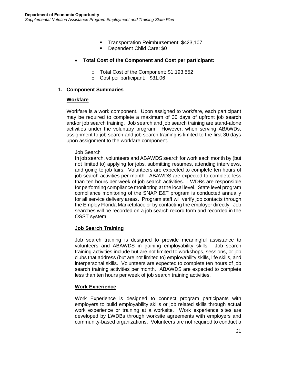- **Transportation Reimbursement: \$423,107**
- **Dependent Child Care: \$0**
- **Total Cost of the Component and Cost per participant:**
	- o Total Cost of the Component: \$1,193,552
	- o Cost per participant: \$31.06

#### **1. Component Summaries**

#### **Workfare**

Workfare is a work component. Upon assigned to workfare, each participant may be required to complete a maximum of 30 days of upfront job search and/or job search training. Job search and job search training are stand-alone activities under the voluntary program. However, when serving ABAWDs, assignment to job search and job search training is limited to the first 30 days upon assignment to the workfare component.

#### Job Search

In job search, volunteers and ABAWDS search for work each month by (but not limited to) applying for jobs, submitting resumes, attending interviews, and going to job fairs. Volunteers are expected to complete ten hours of job search activities per month. ABAWDS are expected to complete less than ten hours per week of job search activities. LWDBs are responsible for performing compliance monitoring at the local level. State level program compliance monitoring of the SNAP E&T program is conducted annually for all service delivery areas. Program staff will verify job contacts through the Employ Florida Marketplace or by contacting the employer directly. Job searches will be recorded on a job search record form and recorded in the OSST system.

## **Job Search Training**

Job search training is designed to provide meaningful assistance to volunteers and ABAWDS in gaining employability skills. Job search training activities include but are not limited to workshops, sessions, or job clubs that address (but are not limited to) employability skills, life skills, and interpersonal skills. Volunteers are expected to complete ten hours of job search training activities per month. ABAWDS are expected to complete less than ten hours per week of job search training activities.

#### **Work Experience**

Work Experience is designed to connect program participants with employers to build employability skills or job related skills through actual work experience or training at a worksite. Work experience sites are developed by LWDBs through worksite agreements with employers and community-based organizations. Volunteers are not required to conduct a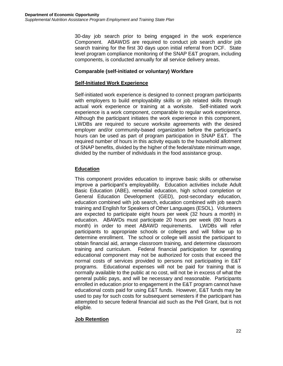30-day job search prior to being engaged in the work experience Component. ABAWDS are required to conduct job search and/or job search training for the first 30 days upon initial referral from DCF. State level program compliance monitoring of the SNAP E&T program, including components, is conducted annually for all service delivery areas.

## **Comparable (self-initiated or voluntary) Workfare**

## **Self-Initiated Work Experience**

Self-initiated work experience is designed to connect program participants with employers to build employability skills or job related skills through actual work experience or training at a worksite. Self-initiated work experience is a work component, comparable to regular work experience. Although the participant initiates the work experience in this component, LWDBs are required to secure worksite agreements with the desired employer and/or community-based organization before the participant's hours can be used as part of program participation in SNAP E&T. The required number of hours in this activity equals to the household allotment of SNAP benefits, divided by the higher of the federal/state minimum wage, divided by the number of individuals in the food assistance group.

## **Education**

This component provides education to improve basic skills or otherwise improve a participant's employability. Education activities include Adult Basic Education (ABE), remedial education, high school completion or General Education Development (GED), post-secondary education, education combined with job search, education combined with job search training and English for Speakers of Other Languages (ESOL). Volunteers are expected to participate eight hours per week (32 hours a month) in education. ABAWDs must participate 20 hours per week (80 hours a month) in order to meet ABAWD requirements. LWDBs will refer participants to appropriate schools or colleges and will follow up to determine enrollment. The school or college will assist the participant to obtain financial aid, arrange classroom training, and determine classroom training and curriculum. Federal financial participation for operating educational component may not be authorized for costs that exceed the normal costs of services provided to persons not participating in E&T programs. Educational expenses will not be paid for training that is normally available to the public at no cost, will not be in excess of what the general public pays, and will be necessary and reasonable. Participants enrolled in education prior to engagement in the E&T program cannot have educational costs paid for using E&T funds. However, E&T funds may be used to pay for such costs for subsequent semesters if the participant has attempted to secure federal financial aid such as the Pell Grant, but is not eligible*.* 

## **Job Retention**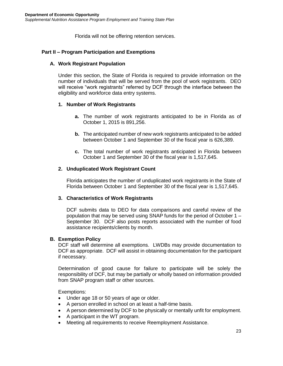Florida will not be offering retention services.

## **Part II – Program Participation and Exemptions**

#### **A. Work Registrant Population**

Under this section, the State of Florida is required to provide information on the number of individuals that will be served from the pool of work registrants. DEO will receive "work registrants" referred by DCF through the interface between the eligibility and workforce data entry systems.

#### **1. Number of Work Registrants**

- **a.** The number of work registrants anticipated to be in Florida as of October 1, 2015 is 891,256.
- **b.** The anticipated number of new work registrants anticipated to be added between October 1 and September 30 of the fiscal year is 626,389.
- **c.** The total number of work registrants anticipated in Florida between October 1 and September 30 of the fiscal year is 1,517,645.

#### **2. Unduplicated Work Registrant Count**

Florida anticipates the number of unduplicated work registrants in the State of Florida between October 1 and September 30 of the fiscal year is 1,517,645.

## **3. Characteristics of Work Registrants**

DCF submits data to DEO for data comparisons and careful review of the population that may be served using SNAP funds for the period of October 1 – September 30. DCF also posts reports associated with the number of food assistance recipients/clients by month.

#### **B. Exemption Policy**

DCF staff will determine all exemptions. LWDBs may provide documentation to DCF as appropriate. DCF will assist in obtaining documentation for the participant if necessary.

Determination of good cause for failure to participate will be solely the responsibility of DCF, but may be partially or wholly based on information provided from SNAP program staff or other sources.

Exemptions:

- Under age 18 or 50 years of age or older.
- A person enrolled in school on at least a half-time basis.
- A person determined by DCF to be physically or mentally unfit for employment.
- A participant in the WT program.
- Meeting all requirements to receive Reemployment Assistance.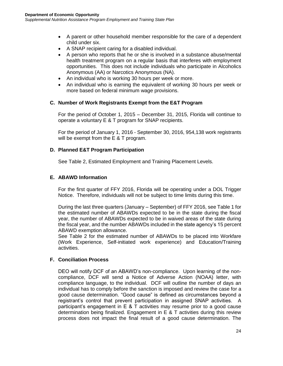- A parent or other household member responsible for the care of a dependent child under six.
- A SNAP recipient caring for a disabled individual.
- A person who reports that he or she is involved in a substance abuse/mental health treatment program on a regular basis that interferes with employment opportunities. This does not include individuals who participate in Alcoholics Anonymous (AA) or Narcotics Anonymous (NA).
- An individual who is working 30 hours per week or more.
- An individual who is earning the equivalent of working 30 hours per week or more based on federal minimum wage provisions.

## **C. Number of Work Registrants Exempt from the E&T Program**

For the period of October 1, 2015 – December 31, 2015, Florida will continue to operate a voluntary E & T program for SNAP recipients.

For the period of January 1, 2016 - September 30, 2016, 954,138 work registrants will be exempt from the E & T program.

## **D. Planned E&T Program Participation**

See Table 2, Estimated Employment and Training Placement Levels.

## **E. ABAWD Information**

For the first quarter of FFY 2016, Florida will be operating under a DOL Trigger Notice. Therefore, individuals will not be subject to time limits during this time.

During the last three quarters (January – September) of FFY 2016, see Table 1 for the estimated number of ABAWDs expected to be in the state during the fiscal year, the number of ABAWDs expected to be in waived areas of the state during the fiscal year, and the number ABAWDs included in the state agency's 15 percent ABAWD exemption allowance.

See Table 2 for the estimated number of ABAWDs to be placed into Workfare (Work Experience, Self-initiated work experience) and Education/Training activities.

## **F. Conciliation Process**

DEO will notify DCF of an ABAWD's non-compliance. Upon learning of the noncompliance, DCF will send a Notice of Adverse Action (NOAA) letter, with compliance language, to the individual. DCF will outline the number of days an individual has to comply before the sanction is imposed and review the case for a good cause determination. "Good cause" is defined as circumstances beyond a registrant's control that prevent participation in assigned SNAP activities. A participant's engagement in  $E \& T$  activities may resume prior to a good cause determination being finalized. Engagement in E & T activities during this review process does not impact the final result of a good cause determination. The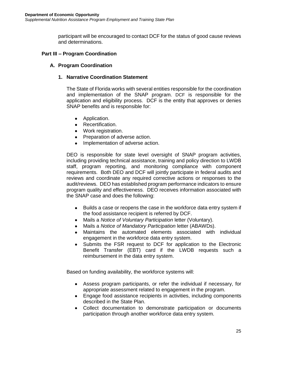participant will be encouraged to contact DCF for the status of good cause reviews and determinations.

## **Part III – Program Coordination**

## **A. Program Coordination**

#### **1. Narrative Coordination Statement**

The State of Florida works with several entities responsible for the coordination and implementation of the SNAP program. DCF is responsible for the application and eligibility process. DCF is the entity that approves or denies SNAP benefits and is responsible for:

- Application.
- Recertification.
- Work registration.
- Preparation of adverse action.
- Implementation of adverse action.

DEO is responsible for state level oversight of SNAP program activities, including providing technical assistance, training and policy direction to LWDB staff, program reporting, and monitoring compliance with component requirements. Both DEO and DCF will jointly participate in federal audits and reviews and coordinate any required corrective actions or responses to the audit/reviews. DEO has established program performance indicators to ensure program quality and effectiveness. DEO receives information associated with the SNAP case and does the following:

- Builds a case or reopens the case in the workforce data entry system if the food assistance recipient is referred by DCF.
- Mails a *Notice of Voluntary Participation* letter (Voluntary).
- Mails a *Notice of Mandatory Participation* letter (ABAWDs).
- Maintains the automated elements associated with individual engagement in the workforce data entry system.
- Submits the FSR request to DCF for application to the Electronic Benefit Transfer (EBT) card if the LWDB requests such a reimbursement in the data entry system.

Based on funding availability, the workforce systems will:

- Assess program participants, or refer the individual if necessary, for appropriate assessment related to engagement in the program.
- Engage food assistance recipients in activities, including components described in the State Plan.
- Collect documentation to demonstrate participation or documents participation through another workforce data entry system.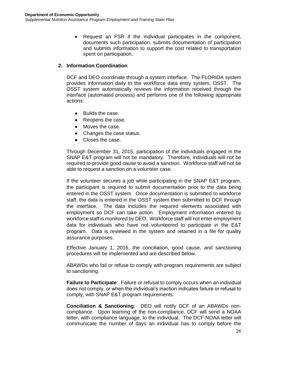• Request an FSR if the individual participates in the component, documents such participation, submits documentation of participation and submits information to support the cost related to transportation spent on participation.

## **2. Information Coordination**

DCF and DEO coordinate through a system interface. The FLORIDA system provides information daily to the workforce data entry system, OSST. The OSST system automatically reviews the information received through the interface (automated process) and performs one of the following appropriate actions:

- Builds the case.
- Reopens the case.
- Moves the case.
- Changes the case status.
- Closes the case.

Through December 31, 2015, participation of the individuals engaged in the SNAP E&T program will not be mandatory. Therefore, individuals will not be required to provide good cause to avoid a sanction. Workforce staff will not be able to request a sanction on a volunteer case.

If the volunteer secures a job while participating in the SNAP E&T program, the participant is required to submit documentation prior to the data being entered in the OSST system. Once documentation is submitted to workforce staff, the data is entered in the OSST system then submitted to DCF through the interface. The data includes the required elements associated with employment so DCF can take action. Employment information entered by workforce staff is monitored by DEO. Workforce staff will not enter employment data for individuals who have not volunteered to participate in the E&T program. Data is reviewed in the system and retained in a file for quality assurance purposes.

Effective January 1, 2016, the conciliation, good cause, and sanctioning procedures will be implemented and are described below.

ABAWDs who fail or refuse to comply with program requirements are subject to sanctioning.

**Failure to Participate**: Failure or refusal to comply occurs when an individual does not comply, or when the individual's inaction indicates failure or refusal to comply, with SNAP E&T program requirements.

**Conciliation & Sanctioning**: DEO will notify DCF of an ABAWDs noncompliance. Upon learning of the non-compliance, DCF will send a NOAA letter, with compliance language, to the individual. The DCF NOAA letter will communicate the number of days an individual has to comply before the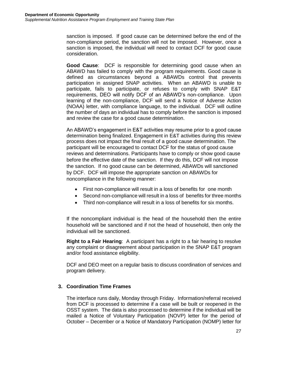sanction is imposed. If good cause can be determined before the end of the non-compliance period, the sanction will not be imposed. However, once a sanction is imposed, the individual will need to contact DCF for good cause consideration.

**Good Cause**: DCF is responsible for determining good cause when an ABAWD has failed to comply with the program requirements. Good cause is defined as circumstances beyond a ABAWDs control that prevents participation in assigned SNAP activities. When an ABAWD is unable to participate, fails to participate, or refuses to comply with SNAP E&T requirements, DEO will notify DCF of an ABAWD's non-compliance. Upon learning of the non-compliance, DCF will send a Notice of Adverse Action (NOAA) letter, with compliance language, to the individual. DCF will outline the number of days an individual has to comply before the sanction is imposed and review the case for a good cause determination.

An ABAWD's engagement in E&T activities may resume prior to a good cause determination being finalized. Engagement in E&T activities during this review process does not impact the final result of a good cause determination. The participant will be encouraged to contact DCF for the status of good cause reviews and determinations. Participants have to comply or show good cause before the effective date of the sanction. If they do this, DCF will not impose the sanction. If no good cause can be determined, ABAWDs will sanctioned by DCF. DCF will impose the appropriate sanction on ABAWDs for noncompliance in the following manner:

- First non-compliance will result in a loss of benefits for one month
- Second non-compliance will result in a loss of benefits for three months
- Third non-compliance will result in a loss of benefits for six months.

If the noncompliant individual is the head of the household then the entire household will be sanctioned and if not the head of household, then only the individual will be sanctioned.

**Right to a Fair Hearing**: A participant has a right to a fair hearing to resolve any complaint or disagreement about participation in the SNAP E&T program and/or food assistance eligibility.

DCF and DEO meet on a regular basis to discuss coordination of services and program delivery.

## **3. Coordination Time Frames**

The interface runs daily, Monday through Friday. Information/referral received from DCF is processed to determine if a case will be built or reopened in the OSST system. The data is also processed to determine if the individual will be mailed a Notice of Voluntary Participation (NOVP) letter for the period of October – December or a Notice of Mandatory Participation (NOMP) letter for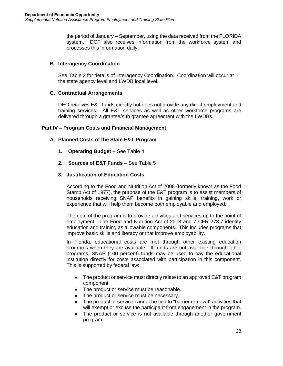the period of January – September, using the data received from the FLORIDA system. DCF also receives information from the workforce system and processes this information daily.

## **B. Interagency Coordination**

See Table 3 for details of Interagency Coordination. Coordination will occur at the state agency level and LWDB local level.

## **C. Contractual Arrangements**

DEO receives E&T funds directly but does not provide any direct employment and training services. All E&T services as well as other workforce programs are delivered through a grantee/sub grantee agreement with the LWDBs.

## **Part IV – Program Costs and Financial Management**

## **A. Planned Costs of the State E&T Program**

- **1. Operating Budget** See Table 4
- **2. Sources of E&T Funds** See Table 5

## **3. Justification of Education Costs**

According to the Food and Nutrition Act of 2008 (formerly known as the Food Stamp Act of 1977), the purpose of the E&T program is to assist members of households receiving SNAP benefits in gaining skills, training, work or experience that will help them become both employable and employed.

The goal of the program is to provide activities and services up to the point of employment. The Food and Nutrition Act of 2008 and 7 CFR 273.7 identify education and training as allowable components. This includes programs that improve basic skills and literacy or that improve employability.

In Florida, educational costs are met through other existing education programs when they are available. If funds are not available through other programs, SNAP (100 percent) funds may be used to pay the educational institution directly for costs associated with participation in this component. This is supported by federal law:

- The product or service must directly relate to an approved E&T program component.
- The product or service must be reasonable.
- The product or service must be necessary.
- The product or service cannot be tied to "barrier removal" activities that will exempt or excuse the participant from engagement in the program.
- The product or service is not available through another government program.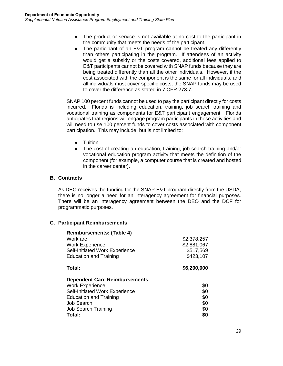- The product or service is not available at no cost to the participant in the community that meets the needs of the participant.
- The participant of an E&T program cannot be treated any differently than others participating in the program. If attendees of an activity would get a subsidy or the costs covered, additional fees applied to E&T participants cannot be covered with SNAP funds because they are being treated differently than all the other individuals. However, if the cost associated with the component is the same for all individuals, and all individuals must cover specific costs, the SNAP funds may be used to cover the difference as stated in 7 CFR 273.7.

SNAP 100 percent funds cannot be used to pay the participant directly for costs incurred. Florida is including education, training, job search training and vocational training as components for E&T participant engagement. Florida anticipates that regions will engage program participants in these activities and will need to use 100 percent funds to cover costs associated with component participation. This may include, but is not limited to:

- Tuition
- The cost of creating an education, training, job search training and/or vocational education program activity that meets the definition of the component (for example, a computer course that is created and hosted in the career center).

#### **B. Contracts**

As DEO receives the funding for the SNAP E&T program directly from the USDA, there is no longer a need for an interagency agreement for financial purposes. There will be an interagency agreement between the DEO and the DCF for programmatic purposes.

## **C. Participant Reimbursements**

| \$2,378,257 |
|-------------|
| \$2,881,067 |
| \$517,569   |
| \$423,107   |
| \$6,200,000 |
|             |
|             |
| \$0         |
| \$0         |
| \$0         |
| \$0         |
| \$0         |
|             |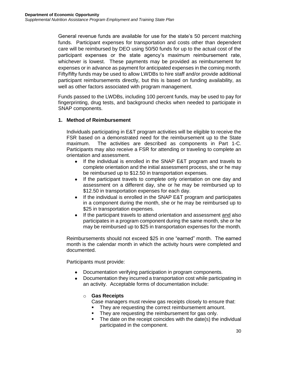General revenue funds are available for use for the state's 50 percent matching funds. Participant expenses for transportation and costs other than dependent care will be reimbursed by DEO using 50/50 funds for up to the actual cost of the participant expenses or the state agency's maximum reimbursement rate, whichever is lowest. These payments may be provided as reimbursement for expenses or in advance as payment for anticipated expenses in the coming month. Fifty/fifty funds may be used to allow LWDBs to hire staff and/or provide additional participant reimbursements directly, but this is based on funding availability, as well as other factors associated with program management.

Funds passed to the LWDBs, including 100 percent funds, may be used to pay for fingerprinting, drug tests, and background checks when needed to participate in SNAP components.

## **1. Method of Reimbursement**

Individuals participating in E&T program activities will be eligible to receive the FSR based on a demonstrated need for the reimbursement up to the State maximum. The activities are described as components in Part 1-C. Participants may also receive a FSR for attending or traveling to complete an orientation and assessment.

- If the individual is enrolled in the SNAP E&T program and travels to complete orientation and the initial assessment process, she or he may be reimbursed up to \$12.50 in transportation expenses.
- If the participant travels to complete only orientation on one day and assessment on a different day, she or he may be reimbursed up to \$12.50 in transportation expenses for each day.
- If the individual is enrolled in the SNAP E&T program and participates in a component during the month, she or he may be reimbursed up to \$25 in transportation expenses.
- If the participant travels to attend orientation and assessment and also participates in a program component during the same month, she or he may be reimbursed up to \$25 in transportation expenses for the month.

Reimbursements should not exceed \$25 in one "earned" month. The earned month is the calendar month in which the activity hours were completed and documented.

Participants must provide:

- Documentation verifying participation in program components.
- Documentation they incurred a transportation cost while participating in an activity. Acceptable forms of documentation include:

## o **Gas Receipts**

Case managers must review gas receipts closely to ensure that:

- They are requesting the correct reimbursement amount.
- They are requesting the reimbursement for gas only.
- The date on the receipt coincides with the date(s) the individual participated in the component.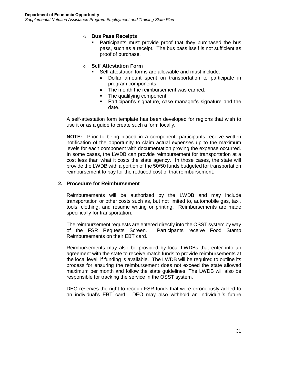#### o **Bus Pass Receipts**

**Participants must provide proof that they purchased the bus** pass, such as a receipt. The bus pass itself is not sufficient as proof of purchase.

#### o **Self Attestation Form**

- Self attestation forms are allowable and must include:
	- Dollar amount spent on transportation to participate in program components.
	- The month the reimbursement was earned.
	- The qualifying component.
	- Participant's signature, case manager's signature and the date.

A self-attestation form template has been developed for regions that wish to use it or as a guide to create such a form locally.

**NOTE:** Prior to being placed in a component, participants receive written notification of the opportunity to claim actual expenses up to the maximum levels for each component with documentation proving the expense occurred. In some cases, the LWDB can provide reimbursement for transportation at a cost less than what it costs the state agency. In those cases, the state will provide the LWDB with a portion of the 50/50 funds budgeted for transportation reimbursement to pay for the reduced cost of that reimbursement.

#### **2. Procedure for Reimbursement**

Reimbursements will be authorized by the LWDB and may include transportation or other costs such as, but not limited to, automobile gas, taxi, tools, clothing, and resume writing or printing. Reimbursements are made specifically for transportation.

The reimbursement requests are entered directly into the OSST system by way of the FSR Requests Screen. Participants receive Food Stamp Reimbursements on their EBT card.

Reimbursements may also be provided by local LWDBs that enter into an agreement with the state to receive match funds to provide reimbursements at the local level, if funding is available. The LWDB will be required to outline its process for ensuring the reimbursement does not exceed the state allowed maximum per month and follow the state guidelines. The LWDB will also be responsible for tracking the service in the OSST system.

DEO reserves the right to recoup FSR funds that were erroneously added to an individual's EBT card. DEO may also withhold an individual's future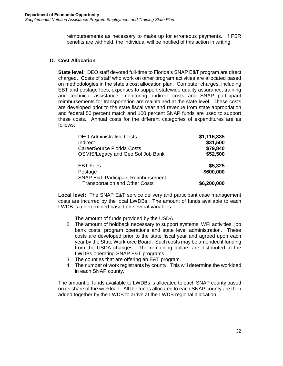reimbursements as necessary to make up for erroneous payments. If FSR benefits are withheld, the individual will be notified of this action in writing.

## **D. Cost Allocation**

**State level:** DEO staff devoted full-time to Florida's SNAP E&T program are direct charged. Costs of staff who work on other program activities are allocated based on methodologies in the state's cost allocation plan. Computer charges, including EBT and postage fees, expenses to support statewide quality assurance, training and technical assistance, monitoring, indirect costs and SNAP participant reimbursements for transportation are maintained at the state level. These costs are developed prior to the state fiscal year and revenue from state appropriation and federal 50 percent match and 100 percent SNAP funds are used to support these costs. Annual costs for the different categories of expenditures are as follows:

| <b>DEO Administrative Costs</b><br>Indirect<br><b>CareerSource Florida Costs</b><br>OSMIS/Legacy and Geo Sol Job Bank | \$1,116,335<br>\$31,500<br>\$79,840<br>\$52,500 |
|-----------------------------------------------------------------------------------------------------------------------|-------------------------------------------------|
| <b>EBT Fees</b><br>Postage<br><b>SNAP E&amp;T Participant Reimbursement</b>                                           | \$5,325<br>\$600,000                            |
| <b>Transportation and Other Costs</b>                                                                                 | \$6,200,000                                     |

**Local level:** The SNAP E&T service delivery and participant case management costs are incurred by the local LWDBs. The amount of funds available to each LWDB is a determined based on several variables.

- 1. The amount of funds provided by the USDA.
- 2. The amount of holdback necessary to support systems, WFI activities, job bank costs, program operations and state level administration. These costs are developed prior to the state fiscal year and agreed upon each year by the State Workforce Board. Such costs may be amended if funding from the USDA changes. The remaining dollars are distributed to the LWDBs operating SNAP E&T programs.
- 3. The counties that are offering an E&T program.
- 4. The number of work registrants by county. This will determine the workload in each SNAP county.

The amount of funds available to LWDBs is allocated to each SNAP county based on its share of the workload. All the funds allocated to each SNAP county are then added together by the LWDB to arrive at the LWDB regional allocation.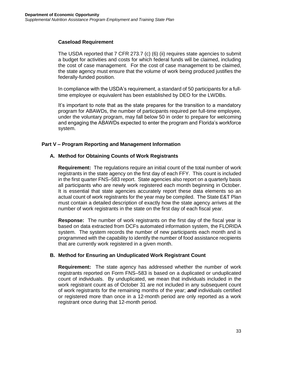#### **Caseload Requirement**

The USDA reported that 7 CFR 273.7 (c) (6) (ii) requires state agencies to submit a budget for activities and costs for which federal funds will be claimed, including the cost of case management. For the cost of case management to be claimed, the state agency must ensure that the volume of work being produced justifies the federally-funded position.

In compliance with the USDA's requirement, a standard of 50 participants for a fulltime employee or equivalent has been established by DEO for the LWDBs.

It's important to note that as the state prepares for the transition to a mandatory program for ABAWDs, the number of participants required per full-time employee, under the voluntary program, may fall below 50 in order to prepare for welcoming and engaging the ABAWDs expected to enter the program and Florida's workforce system.

## **Part V – Program Reporting and Management Information**

## **A. Method for Obtaining Counts of Work Registrants**

**Requirement:** The regulations require an initial count of the total number of work registrants in the state agency on the first day of each FFY. This count is included in the first quarter FNS–583 report. State agencies also report on a quarterly basis all participants who are newly work registered each month beginning in October. It is essential that state agencies accurately report these data elements so an actual count of work registrants for the year may be compiled. The State E&T Plan must contain a detailed description of exactly how the state agency arrives at the number of work registrants in the state on the first day of each fiscal year.

**Response:** The number of work registrants on the first day of the fiscal year is based on data extracted from DCFs automated information system, the FLORIDA system. The system records the number of new participants each month and is programmed with the capability to identify the number of food assistance recipients that are currently work registered in a given month.

## **B. Method for Ensuring an Unduplicated Work Registrant Count**

**Requirement:** The state agency has addressed whether the number of work registrants reported on Form FNS–583 is based on a duplicated or unduplicated count of individuals. By unduplicated, we mean that individuals included in the work registrant count as of October 31 are not included in any subsequent count of work registrants for the remaining months of the year; *and* individuals certified or registered more than once in a 12-month period are only reported as a work registrant once during that 12-month period.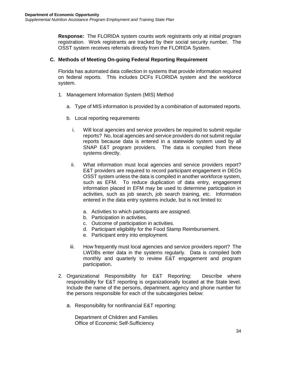**Response:** The FLORIDA system counts work registrants only at initial program registration. Work registrants are tracked by their social security number. The OSST system receives referrals directly from the FLORIDA System.

## **C. Methods of Meeting On-going Federal Reporting Requirement**

Florida has automated data collection in systems that provide information required on federal reports. This includes DCFs FLORIDA system and the workforce system.

- 1. Management Information System (MIS) Method
	- a. Type of MIS information is provided by a combination of automated reports.
	- b. Local reporting requirements
		- i. Will local agencies and service providers be required to submit regular reports? No, local agencies and service providers do not submit regular reports because data is entered in a statewide system used by all SNAP E&T program providers. The data is compiled from these systems directly.
		- ii. What information must local agencies and service providers report? E&T providers are required to record participant engagement in DEOs OSST system unless the data is compiled in another workforce system, such as EFM. To reduce duplication of data entry, engagement information placed in EFM may be used to determine participation in activities, such as job search, job search training, etc. Information entered in the data entry systems include, but is not limited to:
			- a. Activities to which participants are assigned.
			- b. Participation in activities.
			- c. Outcome of participation in activities.
			- d. Participant eligibility for the Food Stamp Reimbursement.
			- e. Participant entry into employment.
		- iii. How frequently must local agencies and service providers report? The LWDBs enter data in the systems regularly. Data is compiled both monthly and quarterly to review E&T engagement and program participation.
- 2. Organizational Responsibility for E&T Reporting: Describe where responsibility for E&T reporting is organizationally located at the State level. Include the name of the persons, department, agency and phone number for the persons responsible for each of the subcategories below:
	- a. Responsibility for nonfinancial E&T reporting:

Department of Children and Families Office of Economic Self-Sufficiency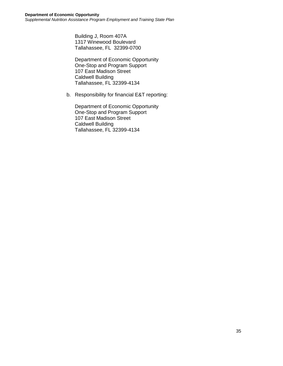Building J, Room 407A 1317 Winewood Boulevard Tallahassee, FL 32399-0700

Department of Economic Opportunity One-Stop and Program Support 107 East Madison Street Caldwell Building Tallahassee, FL 32399-4134

b. Responsibility for financial E&T reporting:

Department of Economic Opportunity One-Stop and Program Support 107 East Madison Street Caldwell Building Tallahassee, FL 32399-4134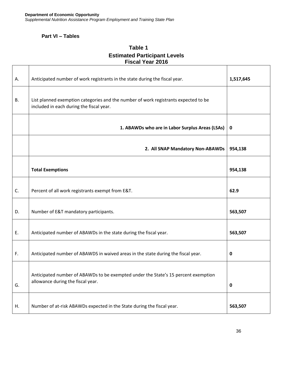## **Part VI – Tables**

 $\Gamma$ 

## **Table 1 Estimated Participant Levels Fiscal Year 2016**

| А. | Anticipated number of work registrants in the state during the fiscal year.                                                     | 1,517,645   |
|----|---------------------------------------------------------------------------------------------------------------------------------|-------------|
| В. | List planned exemption categories and the number of work registrants expected to be<br>included in each during the fiscal year. |             |
|    | 1. ABAWDs who are in Labor Surplus Areas (LSAs)                                                                                 | $\mathbf 0$ |
|    | 2. All SNAP Mandatory Non-ABAWDs                                                                                                | 954,138     |
|    | <b>Total Exemptions</b>                                                                                                         | 954,138     |
| C. | Percent of all work registrants exempt from E&T.                                                                                | 62.9        |
| D. | Number of E&T mandatory participants.                                                                                           | 563,507     |
| Ε. | Anticipated number of ABAWDs in the state during the fiscal year.                                                               | 563,507     |
| F. | Anticipated number of ABAWDS in waived areas in the state during the fiscal year.                                               | $\mathbf 0$ |
| G. | Anticipated number of ABAWDs to be exempted under the State's 15 percent exemption<br>allowance during the fiscal year.         | $\mathbf 0$ |
| Η. | Number of at-risk ABAWDs expected in the State during the fiscal year.                                                          | 563,507     |

┑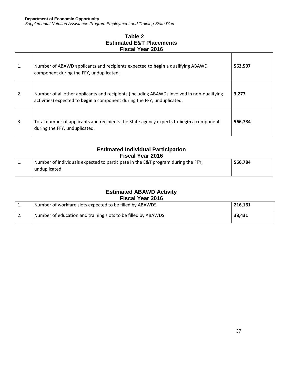*Supplemental Nutrition Assistance Program Employment and Training State Plan*

## **Table 2 Estimated E&T Placements Fiscal Year 2016**

| 1. | Number of ABAWD applicants and recipients expected to begin a qualifying ABAWD<br>component during the FFY, unduplicated.                                             | 563.507 |
|----|-----------------------------------------------------------------------------------------------------------------------------------------------------------------------|---------|
| 2. | Number of all other applicants and recipients (including ABAWDs involved in non-qualifying<br>activities) expected to begin a component during the FFY, unduplicated. | 3,277   |
| 3. | Total number of applicants and recipients the State agency expects to begin a component<br>during the FFY, unduplicated.                                              | 566,784 |

## **Estimated Individual Participation Fiscal Year 2016**

|     | .                                                                                |         |  |  |  |  |
|-----|----------------------------------------------------------------------------------|---------|--|--|--|--|
| . . | Number of individuals expected to participate in the E&T program during the FFY, | 566.784 |  |  |  |  |
|     | unduplicated.                                                                    |         |  |  |  |  |

#### **Estimated ABAWD Activity Fiscal Year 2016**

| 150u110u12010 |                                                                |         |  |  |
|---------------|----------------------------------------------------------------|---------|--|--|
| L.            | Number of workfare slots expected to be filled by ABAWDS.      | 216.161 |  |  |
| Z.            | Number of education and training slots to be filled by ABAWDS. | 38.431  |  |  |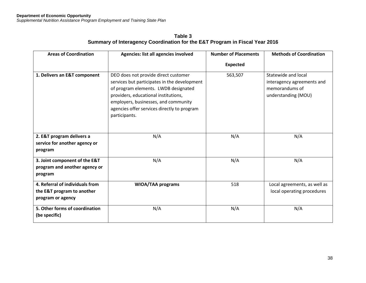**Table 3 Summary of Interagency Coordination for the E&T Program in Fiscal Year 2016**

| <b>Areas of Coordination</b>                                                       | Agencies: list all agencies involved                                                                                                                                                                                                                                         | <b>Number of Placements</b> | <b>Methods of Coordination</b>                                                             |  |
|------------------------------------------------------------------------------------|------------------------------------------------------------------------------------------------------------------------------------------------------------------------------------------------------------------------------------------------------------------------------|-----------------------------|--------------------------------------------------------------------------------------------|--|
|                                                                                    |                                                                                                                                                                                                                                                                              | <b>Expected</b>             |                                                                                            |  |
| 1. Delivers an E&T component                                                       | DEO does not provide direct customer<br>services but participates in the development<br>of program elements. LWDB designated<br>providers, educational institutions,<br>employers, businesses, and community<br>agencies offer services directly to program<br>participants. | 563,507                     | Statewide and local<br>interagency agreements and<br>memorandums of<br>understanding (MOU) |  |
| 2. E&T program delivers a<br>service for another agency or<br>program              | N/A                                                                                                                                                                                                                                                                          | N/A                         | N/A                                                                                        |  |
| 3. Joint component of the E&T<br>program and another agency or<br>program          | N/A                                                                                                                                                                                                                                                                          | N/A                         | N/A                                                                                        |  |
| 4. Referral of individuals from<br>the E&T program to another<br>program or agency | <b>WIOA/TAA programs</b>                                                                                                                                                                                                                                                     | 518                         | Local agreements, as well as<br>local operating procedures                                 |  |
| 5. Other forms of coordination<br>(be specific)                                    | N/A                                                                                                                                                                                                                                                                          | N/A                         | N/A                                                                                        |  |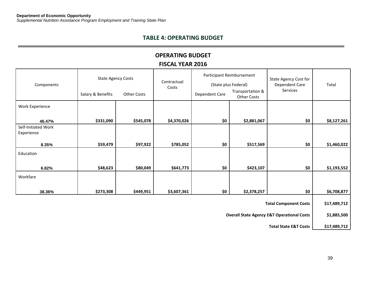## **TABLE 4: OPERATING BUDGET ════════════════════════════════════════════════════════════════════════════════════**

## **OPERATING BUDGET FISCAL YEAR 2016**

| Components                        | <b>State Agency Costs</b><br>Salary & Benefits        | Contractual<br>Costs<br><b>Other Costs</b> |             | Participant Reimbursement<br>(State plus Federal)<br>Transportation &<br>Dependent Care |                    | <b>State Agency Cost for</b><br>Dependent Care<br>Services | Total       |
|-----------------------------------|-------------------------------------------------------|--------------------------------------------|-------------|-----------------------------------------------------------------------------------------|--------------------|------------------------------------------------------------|-------------|
|                                   |                                                       |                                            |             |                                                                                         | <b>Other Costs</b> |                                                            |             |
| <b>Work Experience</b>            |                                                       |                                            |             |                                                                                         |                    |                                                            |             |
| 46.47%                            | \$331,090                                             | \$545,078                                  | \$4,370,026 | \$0                                                                                     | \$2,881,067        | \$0                                                        | \$8,127,261 |
| Self-Initiated Work<br>Experience |                                                       |                                            |             |                                                                                         |                    |                                                            |             |
| 8.35%                             | \$59,479                                              | \$97,922                                   | \$785,052   | \$0                                                                                     | \$517,569          | \$0                                                        | \$1,460,022 |
| Education                         |                                                       |                                            |             |                                                                                         |                    |                                                            |             |
| 6.82%                             | \$48,623                                              | \$80,049                                   | \$641,773   | \$0                                                                                     | \$423,107          | \$0                                                        | \$1,193,552 |
| Workfare                          |                                                       |                                            |             |                                                                                         |                    |                                                            |             |
| 38.36%                            | \$273,308                                             | \$449,951                                  | \$3,607,361 | \$0                                                                                     | \$2,378,257        | \$0                                                        | \$6,708,877 |
| <b>Total Component Costs</b>      |                                                       |                                            |             |                                                                                         | \$17,489,712       |                                                            |             |
|                                   | <b>Overall State Agency E&amp;T Operational Costs</b> |                                            |             |                                                                                         |                    | \$1,885,500                                                |             |

**Total State E&T Costs \$17,489,712**